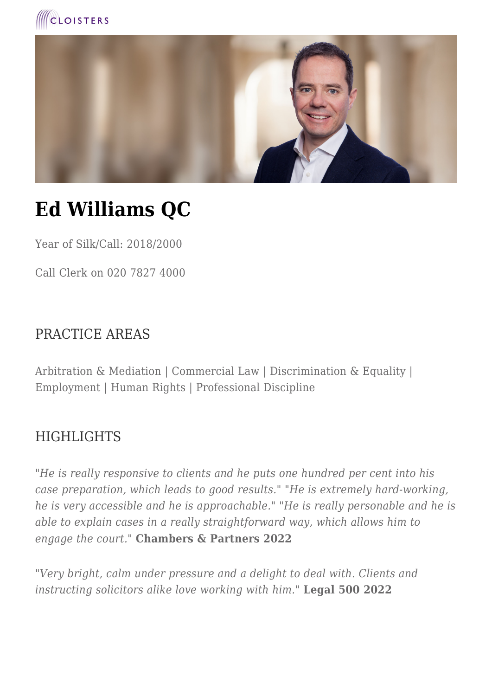



# **Ed Williams QC**

Year of Silk/Call: 2018/2000

Call Clerk on 020 7827 4000

#### PRACTICE AREAS

Arbitration & Mediation | Commercial Law | Discrimination & Equality | Employment | Human Rights | Professional Discipline

#### HIGHLIGHTS

*"He is really responsive to clients and he puts one hundred per cent into his case preparation, which leads to good results." "He is extremely hard-working, he is very accessible and he is approachable." "He is really personable and he is able to explain cases in a really straightforward way, which allows him to engage the court."* **Chambers & Partners 2022**

*"Very bright, calm under pressure and a delight to deal with. Clients and instructing solicitors alike love working with him."* **Legal 500 2022**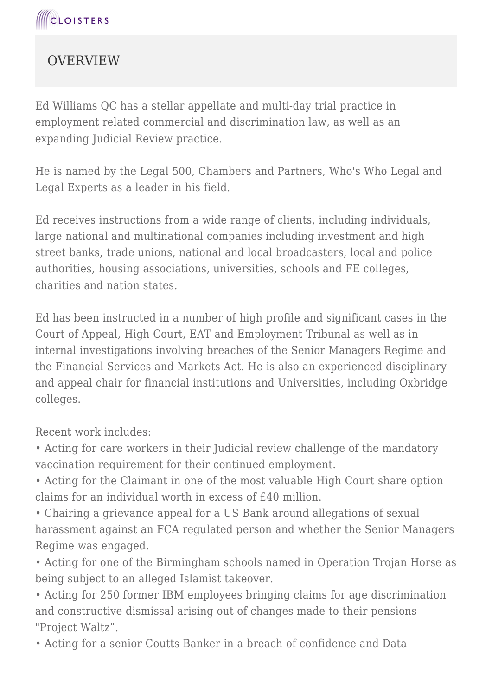### **OVERVIEW**

Ed Williams QC has a stellar appellate and multi-day trial practice in employment related commercial and discrimination law, as well as an expanding Judicial Review practice.

He is named by the Legal 500, Chambers and Partners, Who's Who Legal and Legal Experts as a leader in his field.

Ed receives instructions from a wide range of clients, including individuals, large national and multinational companies including investment and high street banks, trade unions, national and local broadcasters, local and police authorities, housing associations, universities, schools and FE colleges, charities and nation states.

Ed has been instructed in a number of high profile and significant cases in the Court of Appeal, High Court, EAT and Employment Tribunal as well as in internal investigations involving breaches of the Senior Managers Regime and the Financial Services and Markets Act. He is also an experienced disciplinary and appeal chair for financial institutions and Universities, including Oxbridge colleges.

Recent work includes:

• Acting for care workers in their Judicial review challenge of the mandatory vaccination requirement for their continued employment.

• Acting for the Claimant in one of the most valuable High Court share option claims for an individual worth in excess of £40 million.

• Chairing a grievance appeal for a US Bank around allegations of sexual harassment against an FCA regulated person and whether the Senior Managers Regime was engaged.

• Acting for one of the Birmingham schools named in Operation Trojan Horse as being subject to an alleged Islamist takeover.

• Acting for 250 former IBM employees bringing claims for age discrimination and constructive dismissal arising out of changes made to their pensions "Project Waltz".

• Acting for a senior Coutts Banker in a breach of confidence and Data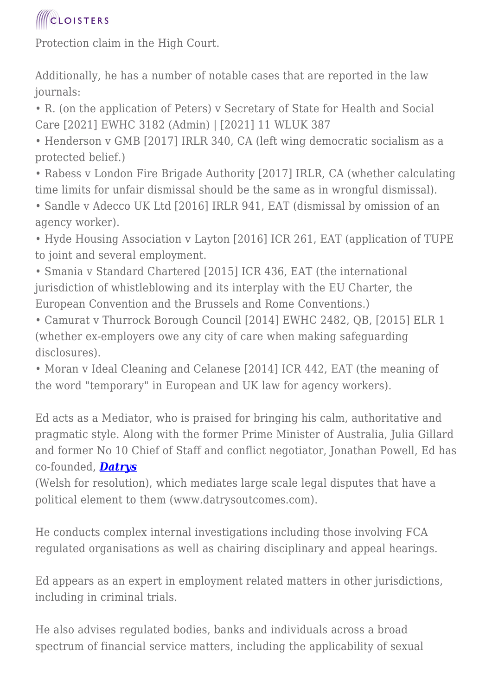Protection claim in the High Court.

Additionally, he has a number of notable cases that are reported in the law journals:

• R. (on the application of Peters) v Secretary of State for Health and Social Care [2021] EWHC 3182 (Admin) | [2021] 11 WLUK 387

• Henderson v GMB [2017] IRLR 340, CA (left wing democratic socialism as a protected belief.)

• Rabess v London Fire Brigade Authority [2017] IRLR, CA (whether calculating time limits for unfair dismissal should be the same as in wrongful dismissal).

• Sandle v Adecco UK Ltd [2016] IRLR 941, EAT (dismissal by omission of an agency worker).

• Hyde Housing Association v Layton [2016] ICR 261, EAT (application of TUPE to joint and several employment.

• Smania v Standard Chartered [2015] ICR 436, EAT (the international jurisdiction of whistleblowing and its interplay with the EU Charter, the European Convention and the Brussels and Rome Conventions.)

• Camurat v Thurrock Borough Council [2014] EWHC 2482, QB, [2015] ELR 1 (whether ex-employers owe any city of care when making safeguarding disclosures).

• Moran v Ideal Cleaning and Celanese [2014] ICR 442, EAT (the meaning of the word "temporary" in European and UK law for agency workers).

Ed acts as a Mediator, who is praised for bringing his calm, authoritative and pragmatic style. Along with the former Prime Minister of Australia, Julia Gillard and former No 10 Chief of Staff and conflict negotiator, Jonathan Powell, Ed has co-founded, *[Datrys](https://datrysoutcomes.com/)*

(Welsh for resolution), which mediates large scale legal disputes that have a political element to them (www.datrysoutcomes.com).

He conducts complex internal investigations including those involving FCA regulated organisations as well as chairing disciplinary and appeal hearings.

Ed appears as an expert in employment related matters in other jurisdictions, including in criminal trials.

He also advises regulated bodies, banks and individuals across a broad spectrum of financial service matters, including the applicability of sexual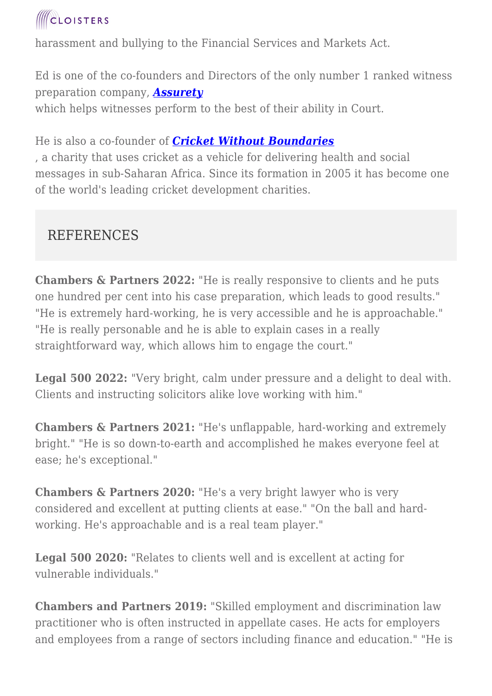

harassment and bullying to the Financial Services and Markets Act.

Ed is one of the co-founders and Directors of the only number 1 ranked witness preparation company, *[Assurety](https://www.cloisters.com/www.assuretytraining.com)* which helps witnesses perform to the best of their ability in Court.

He is also a co-founder of *[Cricket Without Boundaries](https://www.cloisters.com/www.cricketwithoutboundaries.com)*

, a charity that uses cricket as a vehicle for delivering health and social messages in sub-Saharan Africa. Since its formation in 2005 it has become one of the world's leading cricket development charities.

### REFERENCES

**Chambers & Partners 2022:** "He is really responsive to clients and he puts one hundred per cent into his case preparation, which leads to good results." "He is extremely hard-working, he is very accessible and he is approachable." "He is really personable and he is able to explain cases in a really straightforward way, which allows him to engage the court."

**Legal 500 2022:** "Very bright, calm under pressure and a delight to deal with. Clients and instructing solicitors alike love working with him."

**Chambers & Partners 2021:** "He's unflappable, hard-working and extremely bright." "He is so down-to-earth and accomplished he makes everyone feel at ease; he's exceptional."

**Chambers & Partners 2020:** "He's a very bright lawyer who is very considered and excellent at putting clients at ease." "On the ball and hardworking. He's approachable and is a real team player."

**Legal 500 2020:** "Relates to clients well and is excellent at acting for vulnerable individuals."

**Chambers and Partners 2019:** "Skilled employment and discrimination law practitioner who is often instructed in appellate cases. He acts for employers and employees from a range of sectors including finance and education." "He is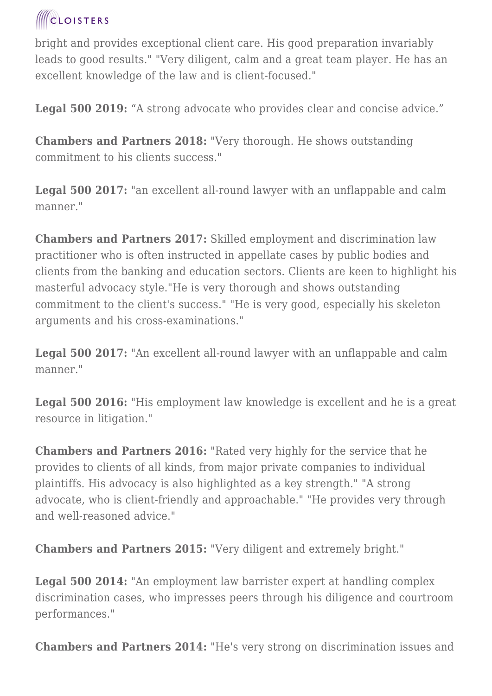bright and provides exceptional client care. His good preparation invariably leads to good results." "Very diligent, calm and a great team player. He has an excellent knowledge of the law and is client-focused."

**Legal 500 2019:** "A strong advocate who provides clear and concise advice."

**Chambers and Partners 2018:** "Very thorough. He shows outstanding commitment to his clients success."

**Legal 500 2017:** "an excellent all-round lawyer with an unflappable and calm manner."

**Chambers and Partners 2017:** Skilled employment and discrimination law practitioner who is often instructed in appellate cases by public bodies and clients from the banking and education sectors. Clients are keen to highlight his masterful advocacy style."He is very thorough and shows outstanding commitment to the client's success." "He is very good, especially his skeleton arguments and his cross-examinations."

**Legal 500 2017:** "An excellent all-round lawyer with an unflappable and calm manner."

**Legal 500 2016:** "His employment law knowledge is excellent and he is a great resource in litigation."

**Chambers and Partners 2016:** "Rated very highly for the service that he provides to clients of all kinds, from major private companies to individual plaintiffs. His advocacy is also highlighted as a key strength." "A strong advocate, who is client-friendly and approachable." "He provides very through and well-reasoned advice."

**Chambers and Partners 2015:** "Very diligent and extremely bright."

**Legal 500 2014:** "An employment law barrister expert at handling complex discrimination cases, who impresses peers through his diligence and courtroom performances."

**Chambers and Partners 2014:** "He's very strong on discrimination issues and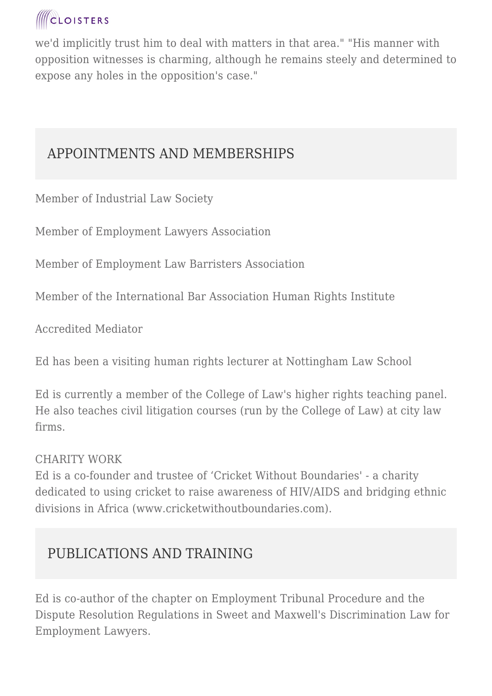we'd implicitly trust him to deal with matters in that area." "His manner with opposition witnesses is charming, although he remains steely and determined to expose any holes in the opposition's case."

### APPOINTMENTS AND MEMBERSHIPS

Member of Industrial Law Society

Member of Employment Lawyers Association

Member of Employment Law Barristers Association

Member of the International Bar Association Human Rights Institute

Accredited Mediator

Ed has been a visiting human rights lecturer at Nottingham Law School

Ed is currently a member of the College of Law's higher rights teaching panel. He also teaches civil litigation courses (run by the College of Law) at city law firms.

#### CHARITY WORK

Ed is a co-founder and trustee of 'Cricket Without Boundaries' - a charity dedicated to using cricket to raise awareness of HIV/AIDS and bridging ethnic divisions in Africa (www.cricketwithoutboundaries.com).

### PUBLICATIONS AND TRAINING

Ed is co-author of the chapter on Employment Tribunal Procedure and the Dispute Resolution Regulations in Sweet and Maxwell's Discrimination Law for Employment Lawyers.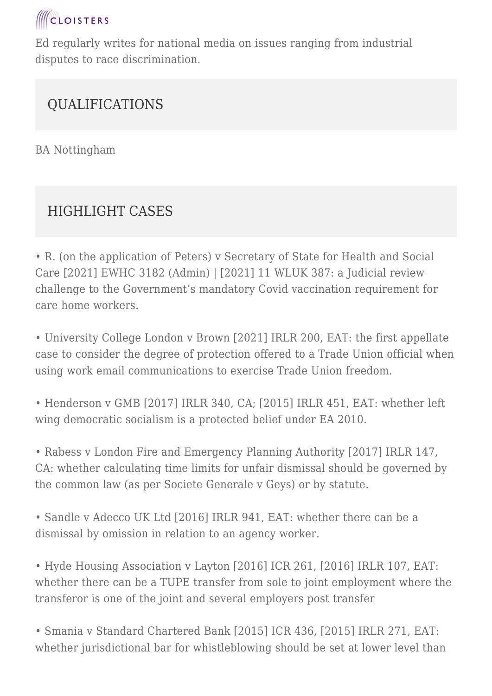

Ed regularly writes for national media on issues ranging from industrial disputes to race discrimination.

### QUALIFICATIONS

BA Nottingham

### HIGHLIGHT CASES

• R. (on the application of Peters) v Secretary of State for Health and Social Care [2021] EWHC 3182 (Admin) | [2021] 11 WLUK 387: a Judicial review challenge to the Government's mandatory Covid vaccination requirement for care home workers.

• University College London v Brown [2021] IRLR 200, EAT: the first appellate case to consider the degree of protection offered to a Trade Union official when using work email communications to exercise Trade Union freedom.

• Henderson v GMB [2017] IRLR 340, CA; [2015] IRLR 451, EAT: whether left wing democratic socialism is a protected belief under EA 2010.

• Rabess v London Fire and Emergency Planning Authority [2017] IRLR 147, CA: whether calculating time limits for unfair dismissal should be governed by the common law (as per Societe Generale v Geys) or by statute.

• Sandle v Adecco UK Ltd [2016] IRLR 941, EAT: whether there can be a dismissal by omission in relation to an agency worker.

• Hyde Housing Association v Layton [2016] ICR 261, [2016] IRLR 107, EAT: whether there can be a TUPE transfer from sole to joint employment where the transferor is one of the joint and several employers post transfer

• Smania v Standard Chartered Bank [2015] ICR 436, [2015] IRLR 271, EAT: whether jurisdictional bar for whistleblowing should be set at lower level than